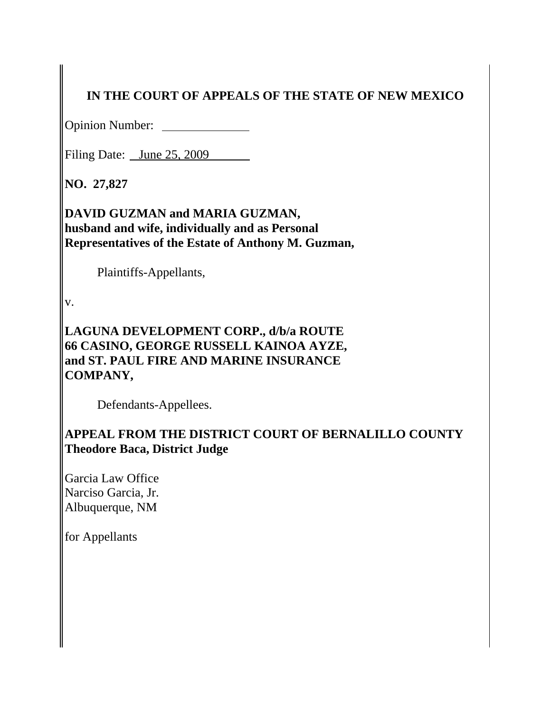# **IN THE COURT OF APPEALS OF THE STATE OF NEW MEXICO**

Opinion Number:

Filing Date: June 25, 2009

**NO. 27,827**

**DAVID GUZMAN and MARIA GUZMAN, husband and wife, individually and as Personal Representatives of the Estate of Anthony M. Guzman,** 

Plaintiffs-Appellants,

v.

**LAGUNA DEVELOPMENT CORP., d/b/a ROUTE 66 CASINO, GEORGE RUSSELL KAINOA AYZE, and ST. PAUL FIRE AND MARINE INSURANCE COMPANY,** 

Defendants-Appellees.

# **APPEAL FROM THE DISTRICT COURT OF BERNALILLO COUNTY Theodore Baca, District Judge**

Garcia Law Office Narciso Garcia, Jr. Albuquerque, NM

for Appellants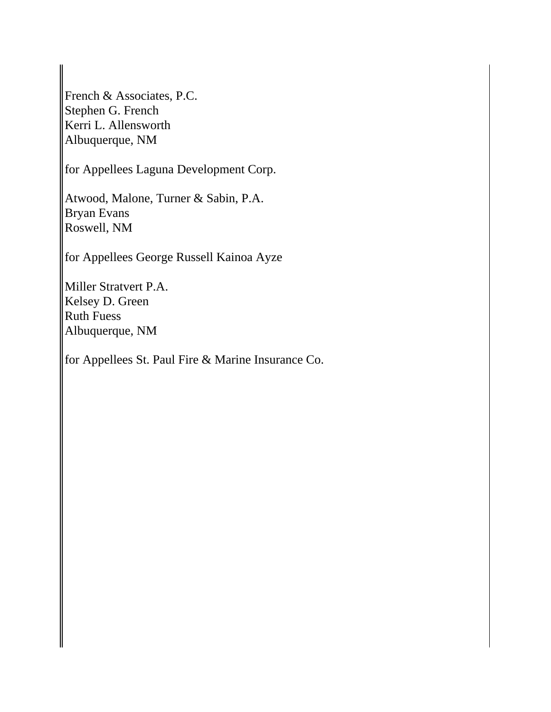French & Associates, P.C. Stephen G. French Kerri L. Allensworth Albuquerque, NM

for Appellees Laguna Development Corp.

Atwood, Malone, Turner & Sabin, P.A. Bryan Evans Roswell, NM

for Appellees George Russell Kainoa Ayze

Miller Stratvert P.A. Kelsey D. Green Ruth Fuess Albuquerque, NM

for Appellees St. Paul Fire & Marine Insurance Co.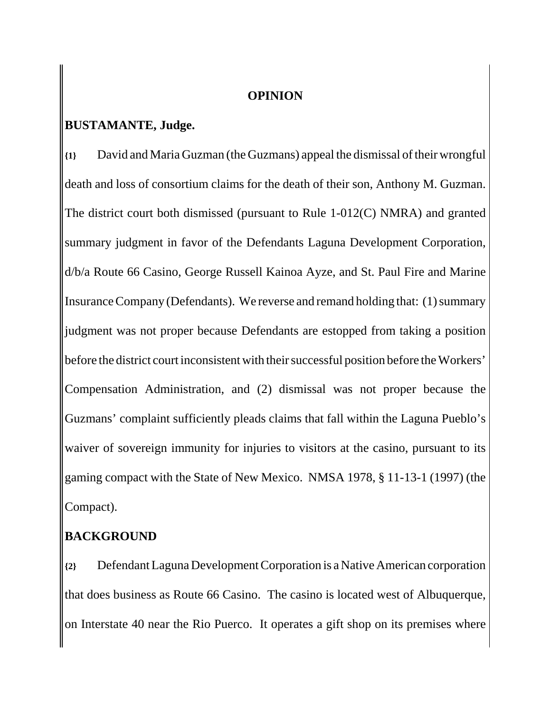#### **OPINION**

#### **BUSTAMANTE, Judge.**

**{1}** David and Maria Guzman (the Guzmans) appeal the dismissal of their wrongful death and loss of consortium claims for the death of their son, Anthony M. Guzman. The district court both dismissed (pursuant to Rule 1-012(C) NMRA) and granted summary judgment in favor of the Defendants Laguna Development Corporation, d/b/a Route 66 Casino, George Russell Kainoa Ayze, and St. Paul Fire and Marine Insurance Company (Defendants). We reverse and remand holding that: (1) summary judgment was not proper because Defendants are estopped from taking a position before the district court inconsistent with their successful position before the Workers' Compensation Administration, and (2) dismissal was not proper because the Guzmans' complaint sufficiently pleads claims that fall within the Laguna Pueblo's waiver of sovereign immunity for injuries to visitors at the casino, pursuant to its gaming compact with the State of New Mexico. NMSA 1978, § 11-13-1 (1997) (the Compact).

### **BACKGROUND**

**{2}** Defendant Laguna Development Corporation is a Native American corporation that does business as Route 66 Casino. The casino is located west of Albuquerque, on Interstate 40 near the Rio Puerco. It operates a gift shop on its premises where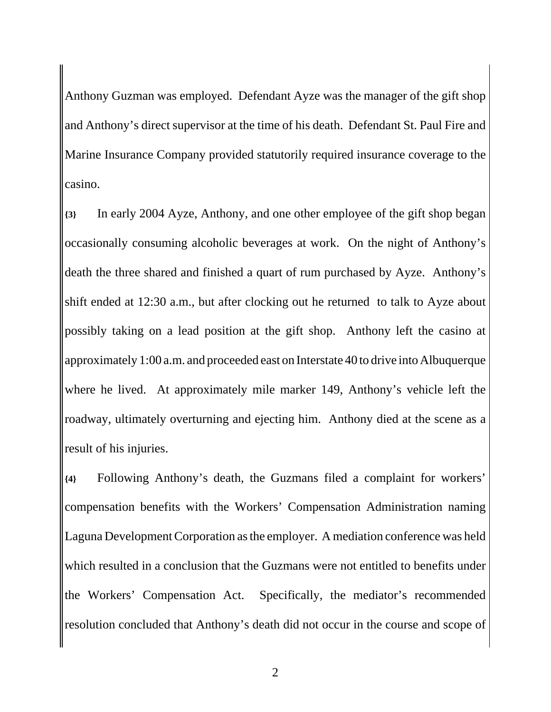Anthony Guzman was employed. Defendant Ayze was the manager of the gift shop and Anthony's direct supervisor at the time of his death. Defendant St. Paul Fire and Marine Insurance Company provided statutorily required insurance coverage to the casino.

**{3}** In early 2004 Ayze, Anthony, and one other employee of the gift shop began occasionally consuming alcoholic beverages at work. On the night of Anthony's death the three shared and finished a quart of rum purchased by Ayze. Anthony's shift ended at 12:30 a.m., but after clocking out he returned to talk to Ayze about possibly taking on a lead position at the gift shop. Anthony left the casino at approximately 1:00 a.m. and proceeded east on Interstate 40 to drive into Albuquerque where he lived. At approximately mile marker 149, Anthony's vehicle left the roadway, ultimately overturning and ejecting him. Anthony died at the scene as a result of his injuries.

**{4}** Following Anthony's death, the Guzmans filed a complaint for workers' compensation benefits with the Workers' Compensation Administration naming Laguna Development Corporation as the employer. A mediation conference was held which resulted in a conclusion that the Guzmans were not entitled to benefits under the Workers' Compensation Act. Specifically, the mediator's recommended resolution concluded that Anthony's death did not occur in the course and scope of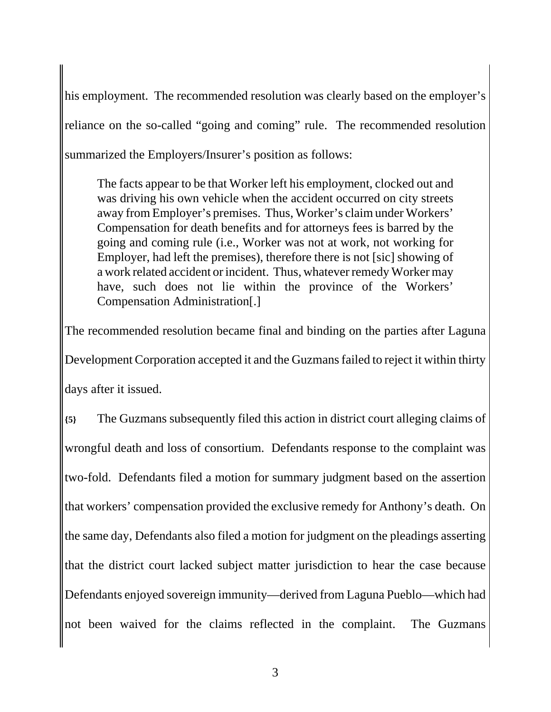his employment. The recommended resolution was clearly based on the employer's reliance on the so-called "going and coming" rule. The recommended resolution summarized the Employers/Insurer's position as follows:

The facts appear to be that Worker left his employment, clocked out and was driving his own vehicle when the accident occurred on city streets away from Employer's premises. Thus, Worker's claim under Workers' Compensation for death benefits and for attorneys fees is barred by the going and coming rule (i.e., Worker was not at work, not working for Employer, had left the premises), therefore there is not [sic] showing of a work related accident or incident. Thus, whatever remedy Worker may have, such does not lie within the province of the Workers' Compensation Administration[.]

The recommended resolution became final and binding on the parties after Laguna Development Corporation accepted it and the Guzmans failed to reject it within thirty days after it issued.

**{5}** The Guzmans subsequently filed this action in district court alleging claims of wrongful death and loss of consortium. Defendants response to the complaint was two-fold. Defendants filed a motion for summary judgment based on the assertion that workers' compensation provided the exclusive remedy for Anthony's death. On the same day, Defendants also filed a motion for judgment on the pleadings asserting that the district court lacked subject matter jurisdiction to hear the case because Defendants enjoyed sovereign immunity—derived from Laguna Pueblo—which had not been waived for the claims reflected in the complaint. The Guzmans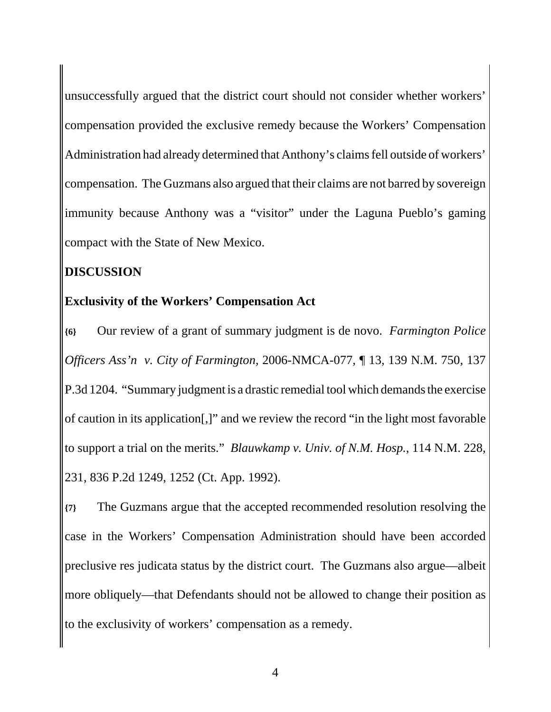unsuccessfully argued that the district court should not consider whether workers' compensation provided the exclusive remedy because the Workers' Compensation Administration had already determined that Anthony's claims fell outside of workers' compensation. The Guzmans also argued that their claims are not barred by sovereign immunity because Anthony was a "visitor" under the Laguna Pueblo's gaming compact with the State of New Mexico.

### **DISCUSSION**

#### **Exclusivity of the Workers' Compensation Act**

**{6}** Our review of a grant of summary judgment is de novo. *Farmington Police Officers Ass'n v. City of Farmington*, 2006-NMCA-077, ¶ 13, 139 N.M. 750, 137 P.3d 1204. "Summary judgment is a drastic remedial tool which demands the exercise of caution in its application[,]" and we review the record "in the light most favorable to support a trial on the merits." *Blauwkamp v. Univ. of N.M. Hosp.*, 114 N.M. 228, 231, 836 P.2d 1249, 1252 (Ct. App. 1992).

**{7}** The Guzmans argue that the accepted recommended resolution resolving the case in the Workers' Compensation Administration should have been accorded preclusive res judicata status by the district court. The Guzmans also argue—albeit more obliquely—that Defendants should not be allowed to change their position as to the exclusivity of workers' compensation as a remedy.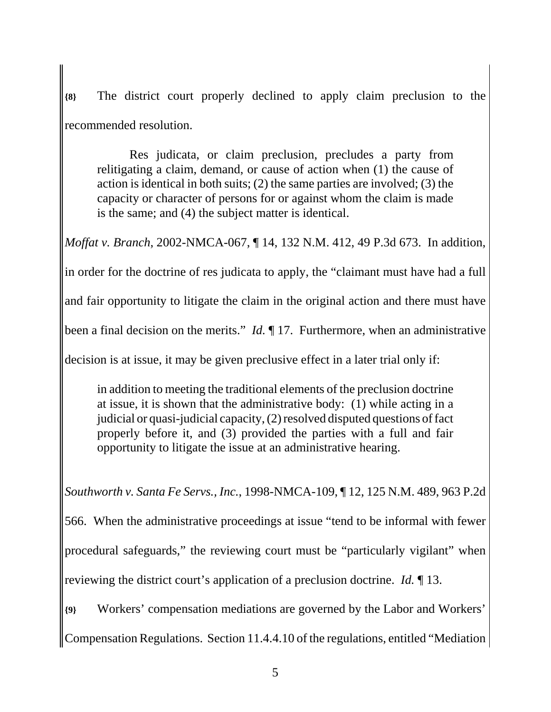**{8}** The district court properly declined to apply claim preclusion to the recommended resolution.

Res judicata, or claim preclusion, precludes a party from relitigating a claim, demand, or cause of action when (1) the cause of action is identical in both suits; (2) the same parties are involved; (3) the capacity or character of persons for or against whom the claim is made is the same; and (4) the subject matter is identical.

*Moffat v. Branch*, 2002-NMCA-067, ¶ 14, 132 N.M. 412, 49 P.3d 673. In addition,

in order for the doctrine of res judicata to apply, the "claimant must have had a full

and fair opportunity to litigate the claim in the original action and there must have

been a final decision on the merits." *Id.* ¶ 17. Furthermore, when an administrative

decision is at issue, it may be given preclusive effect in a later trial only if:

in addition to meeting the traditional elements of the preclusion doctrine at issue, it is shown that the administrative body: (1) while acting in a judicial or quasi-judicial capacity, (2) resolved disputed questions of fact properly before it, and (3) provided the parties with a full and fair opportunity to litigate the issue at an administrative hearing.

*Southworth v. Santa Fe Servs., Inc.*, 1998-NMCA-109, ¶ 12, 125 N.M. 489, 963 P.2d

566. When the administrative proceedings at issue "tend to be informal with fewer procedural safeguards," the reviewing court must be "particularly vigilant" when reviewing the district court's application of a preclusion doctrine. *Id.* ¶ 13.

**{9}** Workers' compensation mediations are governed by the Labor and Workers' Compensation Regulations. Section 11.4.4.10 of the regulations, entitled "Mediation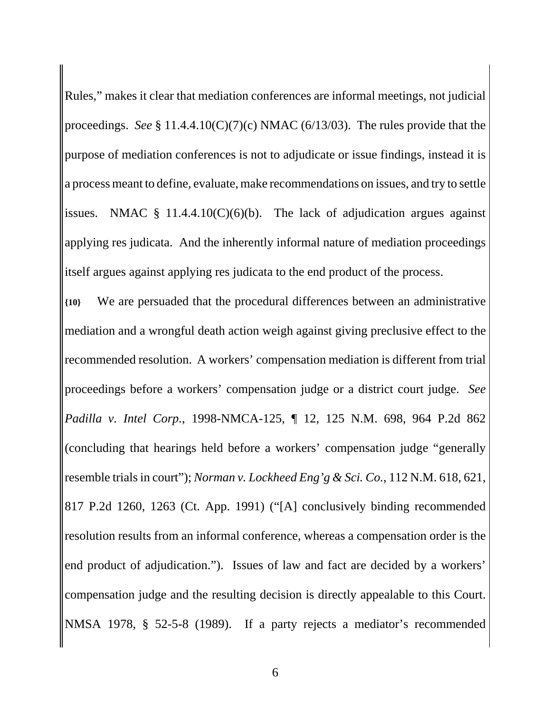Rules," makes it clear that mediation conferences are informal meetings, not judicial proceedings. *See* § 11.4.4.10(C)(7)(c) NMAC (6/13/03). The rules provide that the purpose of mediation conferences is not to adjudicate or issue findings, instead it is a process meant to define, evaluate, make recommendations on issues, and try to settle issues. NMAC  $\S$  11.4.4.10(C)(6)(b). The lack of adjudication argues against applying res judicata. And the inherently informal nature of mediation proceedings itself argues against applying res judicata to the end product of the process.

**{10}** We are persuaded that the procedural differences between an administrative mediation and a wrongful death action weigh against giving preclusive effect to the recommended resolution. A workers' compensation mediation is different from trial proceedings before a workers' compensation judge or a district court judge. *See Padilla v. Intel Corp.*, 1998-NMCA-125, ¶ 12, 125 N.M. 698, 964 P.2d 862 (concluding that hearings held before a workers' compensation judge "generally resemble trials in court"); *Norman v. Lockheed Eng'g & Sci. Co.*, 112 N.M. 618, 621, 817 P.2d 1260, 1263 (Ct. App. 1991) ("[A] conclusively binding recommended resolution results from an informal conference, whereas a compensation order is the end product of adjudication."). Issues of law and fact are decided by a workers' compensation judge and the resulting decision is directly appealable to this Court. NMSA 1978, § 52-5-8 (1989). If a party rejects a mediator's recommended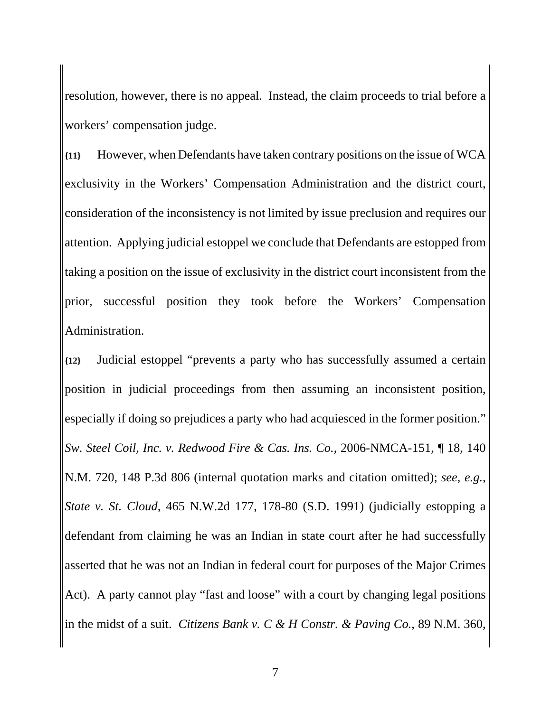resolution, however, there is no appeal. Instead, the claim proceeds to trial before a workers' compensation judge.

**{11}** However, when Defendants have taken contrary positions on the issue of WCA exclusivity in the Workers' Compensation Administration and the district court, consideration of the inconsistency is not limited by issue preclusion and requires our attention. Applying judicial estoppel we conclude that Defendants are estopped from taking a position on the issue of exclusivity in the district court inconsistent from the prior, successful position they took before the Workers' Compensation Administration.

**{12}** Judicial estoppel "prevents a party who has successfully assumed a certain position in judicial proceedings from then assuming an inconsistent position, especially if doing so prejudices a party who had acquiesced in the former position." *Sw. Steel Coil, Inc. v. Redwood Fire & Cas. Ins. Co.*, 2006-NMCA-151, ¶ 18, 140 N.M. 720, 148 P.3d 806 (internal quotation marks and citation omitted); *see, e.g.*, *State v. St. Cloud*, 465 N.W.2d 177, 178-80 (S.D. 1991) (judicially estopping a defendant from claiming he was an Indian in state court after he had successfully asserted that he was not an Indian in federal court for purposes of the Major Crimes Act). A party cannot play "fast and loose" with a court by changing legal positions in the midst of a suit. *Citizens Bank v. C & H Constr. & Paving Co.*, 89 N.M. 360,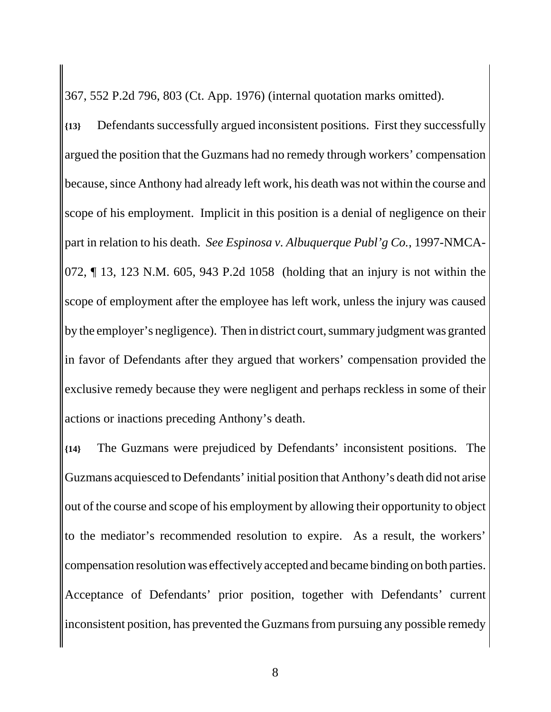367, 552 P.2d 796, 803 (Ct. App. 1976) (internal quotation marks omitted).

**{13}** Defendants successfully argued inconsistent positions. First they successfully argued the position that the Guzmans had no remedy through workers' compensation because, since Anthony had already left work, his death was not within the course and scope of his employment. Implicit in this position is a denial of negligence on their part in relation to his death. *See Espinosa v. Albuquerque Publ'g Co.*, 1997-NMCA-072, ¶ 13, 123 N.M. 605, 943 P.2d 1058 (holding that an injury is not within the scope of employment after the employee has left work, unless the injury was caused by the employer's negligence). Then in district court, summary judgment was granted in favor of Defendants after they argued that workers' compensation provided the exclusive remedy because they were negligent and perhaps reckless in some of their actions or inactions preceding Anthony's death.

**{14}** The Guzmans were prejudiced by Defendants' inconsistent positions. The Guzmans acquiesced to Defendants' initial position that Anthony's death did not arise out of the course and scope of his employment by allowing their opportunity to object to the mediator's recommended resolution to expire. As a result, the workers' compensation resolution was effectively accepted and became binding on both parties. Acceptance of Defendants' prior position, together with Defendants' current inconsistent position, has prevented the Guzmans from pursuing any possible remedy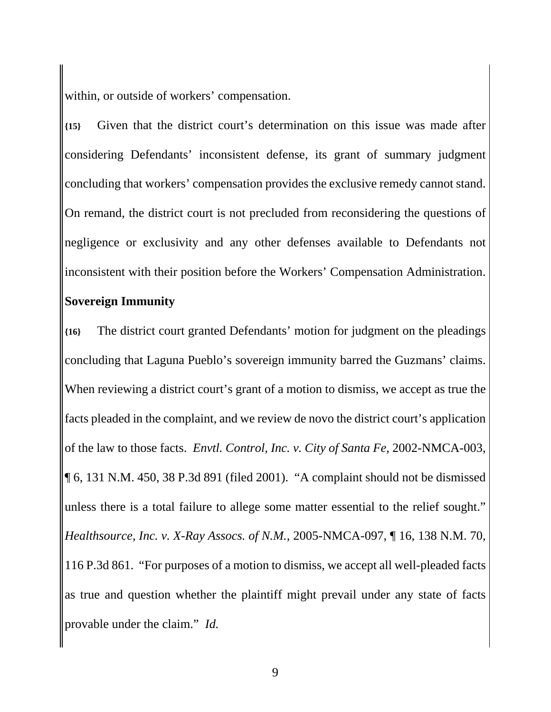within, or outside of workers' compensation.

**{15}** Given that the district court's determination on this issue was made after considering Defendants' inconsistent defense, its grant of summary judgment concluding that workers' compensation provides the exclusive remedy cannot stand. On remand, the district court is not precluded from reconsidering the questions of negligence or exclusivity and any other defenses available to Defendants not inconsistent with their position before the Workers' Compensation Administration. **Sovereign Immunity**

**{16}** The district court granted Defendants' motion for judgment on the pleadings concluding that Laguna Pueblo's sovereign immunity barred the Guzmans' claims. When reviewing a district court's grant of a motion to dismiss, we accept as true the facts pleaded in the complaint, and we review de novo the district court's application of the law to those facts. *Envtl. Control, Inc. v. City of Santa Fe*, 2002-NMCA-003, ¶ 6, 131 N.M. 450, 38 P.3d 891 (filed 2001). "A complaint should not be dismissed unless there is a total failure to allege some matter essential to the relief sought." *Healthsource, Inc. v. X-Ray Assocs. of N.M.*, 2005-NMCA-097, ¶ 16, 138 N.M. 70, 116 P.3d 861. "For purposes of a motion to dismiss, we accept all well-pleaded facts as true and question whether the plaintiff might prevail under any state of facts provable under the claim." *Id.*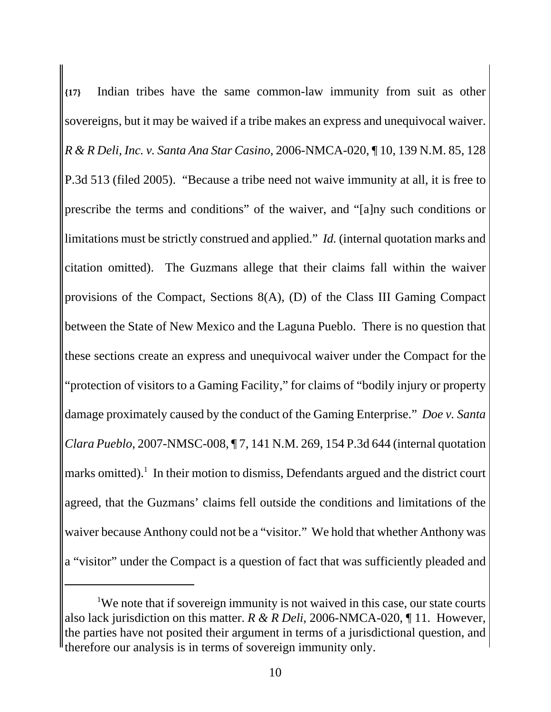**{17}** Indian tribes have the same common-law immunity from suit as other sovereigns, but it may be waived if a tribe makes an express and unequivocal waiver. *R & R Deli, Inc. v. Santa Ana Star Casino*, 2006-NMCA-020, ¶ 10, 139 N.M. 85, 128 P.3d 513 (filed 2005). "Because a tribe need not waive immunity at all, it is free to prescribe the terms and conditions" of the waiver, and "[a]ny such conditions or limitations must be strictly construed and applied." *Id.* (internal quotation marks and citation omitted). The Guzmans allege that their claims fall within the waiver provisions of the Compact, Sections 8(A), (D) of the Class III Gaming Compact between the State of New Mexico and the Laguna Pueblo. There is no question that these sections create an express and unequivocal waiver under the Compact for the "protection of visitors to a Gaming Facility," for claims of "bodily injury or property damage proximately caused by the conduct of the Gaming Enterprise." *Doe v. Santa Clara Pueblo*, 2007-NMSC-008, ¶ 7, 141 N.M. 269, 154 P.3d 644 (internal quotation marks omitted).<sup>1</sup> In their motion to dismiss, Defendants argued and the district court agreed, that the Guzmans' claims fell outside the conditions and limitations of the waiver because Anthony could not be a "visitor." We hold that whether Anthony was a "visitor" under the Compact is a question of fact that was sufficiently pleaded and

<sup>&</sup>lt;sup>1</sup>We note that if sovereign immunity is not waived in this case, our state courts also lack jurisdiction on this matter. *R & R Deli*, 2006-NMCA-020, ¶ 11. However, the parties have not posited their argument in terms of a jurisdictional question, and therefore our analysis is in terms of sovereign immunity only.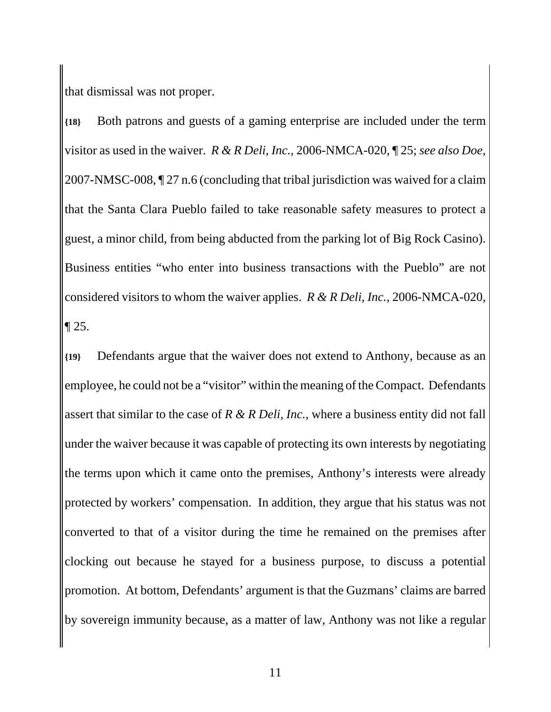that dismissal was not proper.

**{18}** Both patrons and guests of a gaming enterprise are included under the term visitor as used in the waiver. *R & R Deli, Inc.*, 2006-NMCA-020, ¶ 25; *see also Doe*, 2007-NMSC-008, ¶ 27 n.6 (concluding that tribal jurisdiction was waived for a claim that the Santa Clara Pueblo failed to take reasonable safety measures to protect a guest, a minor child, from being abducted from the parking lot of Big Rock Casino). Business entities "who enter into business transactions with the Pueblo" are not considered visitors to whom the waiver applies. *R & R Deli, Inc.*, 2006-NMCA-020, ¶ 25.

**{19}** Defendants argue that the waiver does not extend to Anthony, because as an employee, he could not be a "visitor" within the meaning of the Compact. Defendants assert that similar to the case of *R & R Deli, Inc.*, where a business entity did not fall under the waiver because it was capable of protecting its own interests by negotiating the terms upon which it came onto the premises, Anthony's interests were already protected by workers' compensation. In addition, they argue that his status was not converted to that of a visitor during the time he remained on the premises after clocking out because he stayed for a business purpose, to discuss a potential promotion. At bottom, Defendants' argument is that the Guzmans' claims are barred by sovereign immunity because, as a matter of law, Anthony was not like a regular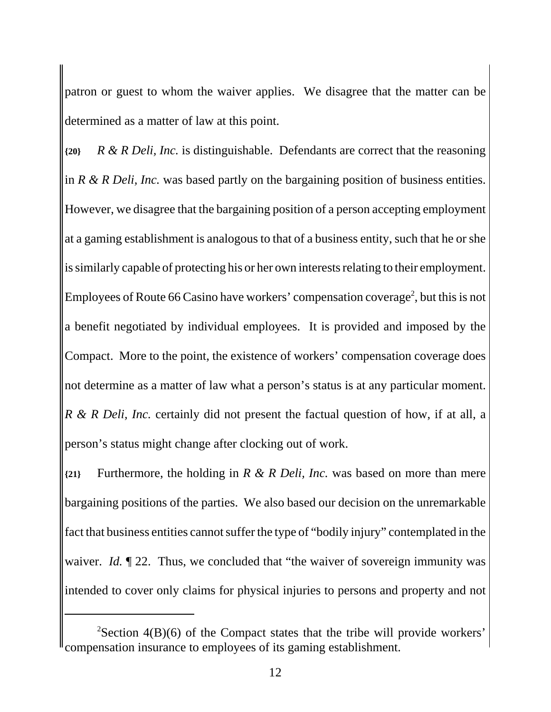patron or guest to whom the waiver applies. We disagree that the matter can be determined as a matter of law at this point.

**{20}** *R & R Deli, Inc.* is distinguishable. Defendants are correct that the reasoning in *R & R Deli, Inc.* was based partly on the bargaining position of business entities. However, we disagree that the bargaining position of a person accepting employment at a gaming establishment is analogous to that of a business entity, such that he or she is similarly capable of protecting his or her own interests relating to their employment. Employees of Route 66 Casino have workers' compensation coverage<sup>2</sup>, but this is not a benefit negotiated by individual employees. It is provided and imposed by the Compact. More to the point, the existence of workers' compensation coverage does not determine as a matter of law what a person's status is at any particular moment. *R & R Deli, Inc.* certainly did not present the factual question of how, if at all, a person's status might change after clocking out of work.

**{21}** Furthermore, the holding in *R & R Deli, Inc.* was based on more than mere bargaining positions of the parties. We also based our decision on the unremarkable fact that business entities cannot suffer the type of "bodily injury" contemplated in the waiver. *Id.* 122. Thus, we concluded that "the waiver of sovereign immunity was intended to cover only claims for physical injuries to persons and property and not

<sup>&</sup>lt;sup>2</sup>Section 4(B)(6) of the Compact states that the tribe will provide workers' compensation insurance to employees of its gaming establishment.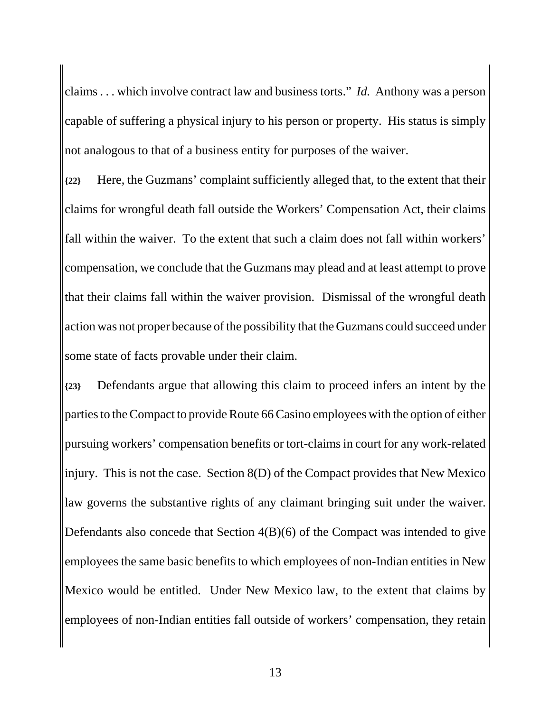claims . . . which involve contract law and business torts." *Id.* Anthony was a person capable of suffering a physical injury to his person or property. His status is simply not analogous to that of a business entity for purposes of the waiver.

**{22}** Here, the Guzmans' complaint sufficiently alleged that, to the extent that their claims for wrongful death fall outside the Workers' Compensation Act, their claims fall within the waiver. To the extent that such a claim does not fall within workers' compensation, we conclude that the Guzmans may plead and at least attempt to prove that their claims fall within the waiver provision. Dismissal of the wrongful death action was not proper because of the possibility that the Guzmans could succeed under some state of facts provable under their claim.

**{23}** Defendants argue that allowing this claim to proceed infers an intent by the parties to the Compact to provide Route 66 Casino employees with the option of either pursuing workers' compensation benefits or tort-claims in court for any work-related injury. This is not the case. Section 8(D) of the Compact provides that New Mexico law governs the substantive rights of any claimant bringing suit under the waiver. Defendants also concede that Section 4(B)(6) of the Compact was intended to give employees the same basic benefits to which employees of non-Indian entities in New Mexico would be entitled. Under New Mexico law, to the extent that claims by employees of non-Indian entities fall outside of workers' compensation, they retain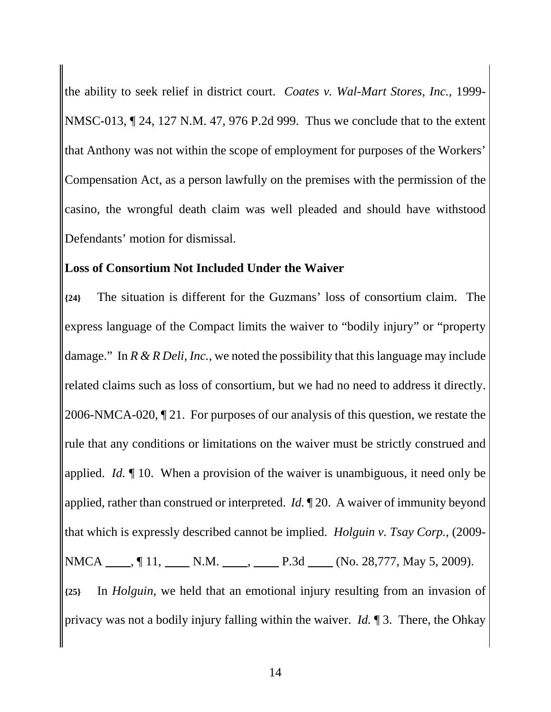the ability to seek relief in district court. *Coates v. Wal-Mart Stores, Inc.*, 1999- NMSC-013, ¶ 24, 127 N.M. 47, 976 P.2d 999. Thus we conclude that to the extent that Anthony was not within the scope of employment for purposes of the Workers' Compensation Act, as a person lawfully on the premises with the permission of the casino, the wrongful death claim was well pleaded and should have withstood Defendants' motion for dismissal.

#### **Loss of Consortium Not Included Under the Waiver**

**{24}** The situation is different for the Guzmans' loss of consortium claim. The express language of the Compact limits the waiver to "bodily injury" or "property damage." In *R & R Deli, Inc.*, we noted the possibility that this language may include related claims such as loss of consortium, but we had no need to address it directly. 2006-NMCA-020, ¶ 21. For purposes of our analysis of this question, we restate the rule that any conditions or limitations on the waiver must be strictly construed and applied. *Id.* ¶ 10. When a provision of the waiver is unambiguous, it need only be applied, rather than construed or interpreted. *Id.* ¶ 20. A waiver of immunity beyond that which is expressly described cannot be implied. *Holguin v. Tsay Corp.*, (2009- NMCA , 11, N.M. , P.3d (No. 28,777, May 5, 2009). **{25}** In *Holguin*, we held that an emotional injury resulting from an invasion of privacy was not a bodily injury falling within the waiver. *Id.* ¶ 3. There, the Ohkay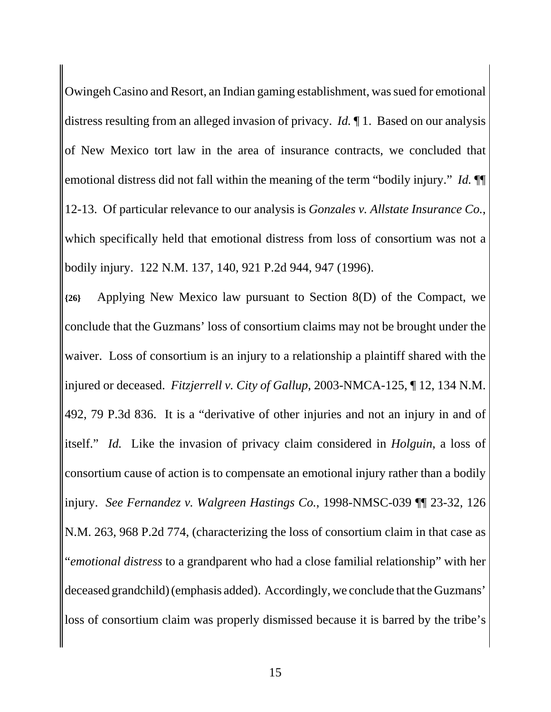Owingeh Casino and Resort, an Indian gaming establishment, was sued for emotional distress resulting from an alleged invasion of privacy. *Id.* ¶ 1. Based on our analysis of New Mexico tort law in the area of insurance contracts, we concluded that emotional distress did not fall within the meaning of the term "bodily injury." *Id.* ¶¶ 12-13. Of particular relevance to our analysis is *Gonzales v. Allstate Insurance Co.*, which specifically held that emotional distress from loss of consortium was not a bodily injury. 122 N.M. 137, 140, 921 P.2d 944, 947 (1996).

**{26}** Applying New Mexico law pursuant to Section 8(D) of the Compact, we conclude that the Guzmans' loss of consortium claims may not be brought under the waiver. Loss of consortium is an injury to a relationship a plaintiff shared with the injured or deceased. *Fitzjerrell v. City of Gallup*, 2003-NMCA-125, ¶ 12, 134 N.M. 492, 79 P.3d 836. It is a "derivative of other injuries and not an injury in and of itself." *Id.* Like the invasion of privacy claim considered in *Holguin*, a loss of consortium cause of action is to compensate an emotional injury rather than a bodily injury. *See Fernandez v. Walgreen Hastings Co.*, 1998-NMSC-039 ¶¶ 23-32, 126 N.M. 263, 968 P.2d 774, (characterizing the loss of consortium claim in that case as "*emotional distress* to a grandparent who had a close familial relationship" with her deceased grandchild) (emphasis added). Accordingly, we conclude that the Guzmans' loss of consortium claim was properly dismissed because it is barred by the tribe's